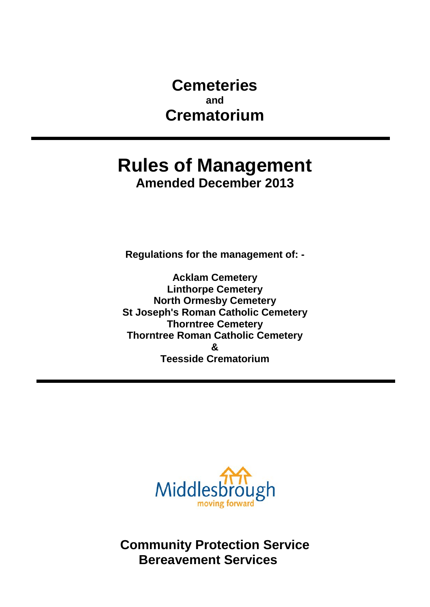**Cemeteries and Crematorium**

# **Rules of Management Amended December 2013**

**Regulations for the management of: -** 

**Acklam Cemetery Linthorpe Cemetery North Ormesby Cemetery St Joseph's Roman Catholic Cemetery Thorntree Cemetery Thorntree Roman Catholic Cemetery & Teesside Crematorium**



**Community Protection Service Bereavement Services**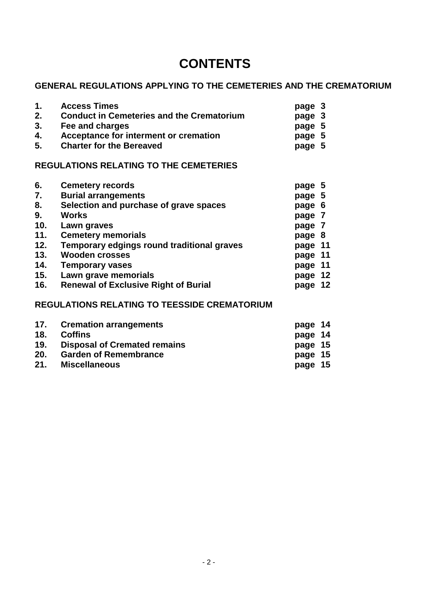# **CONTENTS**

# **GENERAL REGULATIONS APPLYING TO THE CEMETERIES AND THE CREMATORIUM**

| $1_{-}$<br>2.<br>3. | <b>Access Times</b><br><b>Conduct in Cemeteries and the Crematorium</b><br>Fee and charges | page 3<br>page 3<br>page 5 |
|---------------------|--------------------------------------------------------------------------------------------|----------------------------|
| 4.                  | Acceptance for interment or cremation                                                      | page 5                     |
| 5.                  | <b>Charter for the Bereaved</b>                                                            | page 5                     |

# **REGULATIONS RELATING TO THE CEMETERIES**

| <b>Cemetery records</b>                     | page 5  |    |
|---------------------------------------------|---------|----|
| <b>Burial arrangements</b>                  | page 5  |    |
| Selection and purchase of grave spaces      | page 6  |    |
| <b>Works</b>                                | page 7  |    |
| Lawn graves                                 | page 7  |    |
| <b>Cemetery memorials</b>                   | page 8  |    |
| Temporary edgings round traditional graves  | page 11 |    |
| <b>Wooden crosses</b>                       | page 11 |    |
| <b>Temporary vases</b>                      | page 11 |    |
| Lawn grave memorials                        | page    | 12 |
| <b>Renewal of Exclusive Right of Burial</b> | page    | 12 |
|                                             |         |    |

# **REGULATIONS RELATING TO TEESSIDE CREMATORIUM**

|     | 17. Cremation arrangements          | page 14 |  |
|-----|-------------------------------------|---------|--|
| 18. | <b>Coffins</b>                      | page 14 |  |
| 19. | <b>Disposal of Cremated remains</b> | page 15 |  |
| 20. | <b>Garden of Remembrance</b>        | page 15 |  |
| 21. | <b>Miscellaneous</b>                | page 15 |  |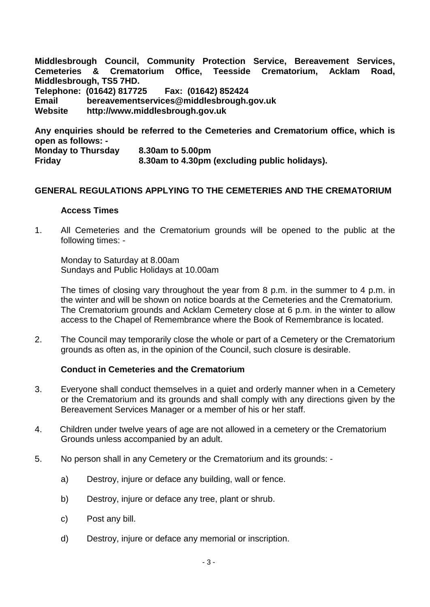**Middlesbrough Council, Community Protection Service, Bereavement Services,**  Cemeteries & Crematorium Office, Teesside Crematorium, Acklam **Middlesbrough, TS5 7HD. Telephone: (01642) 817725 Fax: (01642) 852424 Email [bereavementservices@middlesbrough.gov.uk](mailto:bereavementservices@middlesbrough.gov.uk) Website http://www.middlesbrough.gov.uk**

**Any enquiries should be referred to the Cemeteries and Crematorium office, which is open as follows: - Monday to Thursday 8.30am to 5.00pm Friday 8.30am to 4.30pm (excluding public holidays).**

# **GENERAL REGULATIONS APPLYING TO THE CEMETERIES AND THE CREMATORIUM**

#### **Access Times**

1. All Cemeteries and the Crematorium grounds will be opened to the public at the following times: -

Monday to Saturday at 8.00am Sundays and Public Holidays at 10.00am

The times of closing vary throughout the year from 8 p.m. in the summer to 4 p.m. in the winter and will be shown on notice boards at the Cemeteries and the Crematorium. The Crematorium grounds and Acklam Cemetery close at 6 p.m. in the winter to allow access to the Chapel of Remembrance where the Book of Remembrance is located.

2. The Council may temporarily close the whole or part of a Cemetery or the Crematorium grounds as often as, in the opinion of the Council, such closure is desirable.

### **Conduct in Cemeteries and the Crematorium**

- 3. Everyone shall conduct themselves in a quiet and orderly manner when in a Cemetery or the Crematorium and its grounds and shall comply with any directions given by the Bereavement Services Manager or a member of his or her staff.
- 4. Children under twelve years of age are not allowed in a cemetery or the Crematorium Grounds unless accompanied by an adult.
- 5. No person shall in any Cemetery or the Crematorium and its grounds:
	- a) Destroy, injure or deface any building, wall or fence.
	- b) Destroy, injure or deface any tree, plant or shrub.
	- c) Post any bill.
	- d) Destroy, injure or deface any memorial or inscription.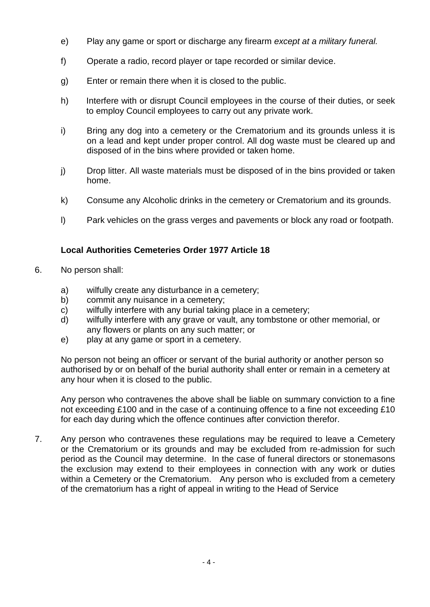- e) Play any game or sport or discharge any firearm *except at a military funeral.*
- f) Operate a radio, record player or tape recorded or similar device.
- g) Enter or remain there when it is closed to the public.
- h) Interfere with or disrupt Council employees in the course of their duties, or seek to employ Council employees to carry out any private work.
- i) Bring any dog into a cemetery or the Crematorium and its grounds unless it is on a lead and kept under proper control. All dog waste must be cleared up and disposed of in the bins where provided or taken home.
- j) Drop litter. All waste materials must be disposed of in the bins provided or taken home.
- k) Consume any Alcoholic drinks in the cemetery or Crematorium and its grounds.
- l) Park vehicles on the grass verges and pavements or block any road or footpath.

# **Local Authorities Cemeteries Order 1977 Article 18**

- 6. No person shall:
	- a) wilfully create any disturbance in a cemetery;<br>b) commit any nuisance in a cemetery;
	- commit any nuisance in a cemetery;
	- c) wilfully interfere with any burial taking place in a cemetery;<br>d) wilfully interfere with any grave or vault, any tombstone or
	- wilfully interfere with any grave or vault, any tombstone or other memorial, or any flowers or plants on any such matter; or
	- e) play at any game or sport in a cemetery.

No person not being an officer or servant of the burial authority or another person so authorised by or on behalf of the burial authority shall enter or remain in a cemetery at any hour when it is closed to the public.

Any person who contravenes the above shall be liable on summary conviction to a fine not exceeding £100 and in the case of a continuing offence to a fine not exceeding £10 for each day during which the offence continues after conviction therefor.

7. Any person who contravenes these regulations may be required to leave a Cemetery or the Crematorium or its grounds and may be excluded from re-admission for such period as the Council may determine. In the case of funeral directors or stonemasons the exclusion may extend to their employees in connection with any work or duties within a Cemetery or the Crematorium. Any person who is excluded from a cemetery of the crematorium has a right of appeal in writing to the Head of Service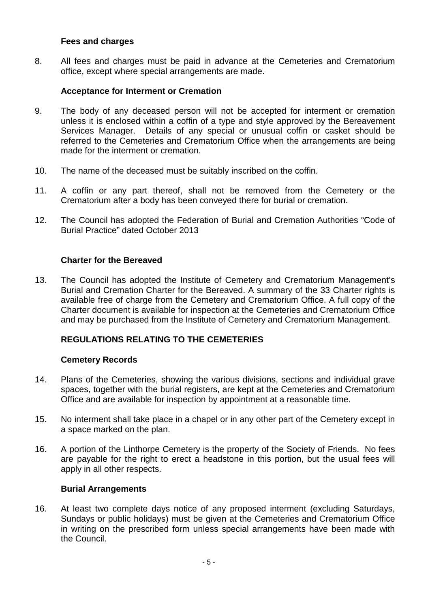### **Fees and charges**

8. All fees and charges must be paid in advance at the Cemeteries and Crematorium office, except where special arrangements are made.

## **Acceptance for Interment or Cremation**

- 9. The body of any deceased person will not be accepted for interment or cremation unless it is enclosed within a coffin of a type and style approved by the Bereavement Services Manager. Details of any special or unusual coffin or casket should be referred to the Cemeteries and Crematorium Office when the arrangements are being made for the interment or cremation.
- 10. The name of the deceased must be suitably inscribed on the coffin.
- 11. A coffin or any part thereof, shall not be removed from the Cemetery or the Crematorium after a body has been conveyed there for burial or cremation.
- 12. The Council has adopted the Federation of Burial and Cremation Authorities "Code of Burial Practice" dated October 2013

### **Charter for the Bereaved**

13. The Council has adopted the Institute of Cemetery and Crematorium Management's Burial and Cremation Charter for the Bereaved. A summary of the 33 Charter rights is available free of charge from the Cemetery and Crematorium Office. A full copy of the Charter document is available for inspection at the Cemeteries and Crematorium Office and may be purchased from the Institute of Cemetery and Crematorium Management.

# **REGULATIONS RELATING TO THE CEMETERIES**

### **Cemetery Records**

- 14. Plans of the Cemeteries, showing the various divisions, sections and individual grave spaces, together with the burial registers, are kept at the Cemeteries and Crematorium Office and are available for inspection by appointment at a reasonable time.
- 15. No interment shall take place in a chapel or in any other part of the Cemetery except in a space marked on the plan.
- 16. A portion of the Linthorpe Cemetery is the property of the Society of Friends. No fees are payable for the right to erect a headstone in this portion, but the usual fees will apply in all other respects.

### **Burial Arrangements**

16. At least two complete days notice of any proposed interment (excluding Saturdays, Sundays or public holidays) must be given at the Cemeteries and Crematorium Office in writing on the prescribed form unless special arrangements have been made with the Council.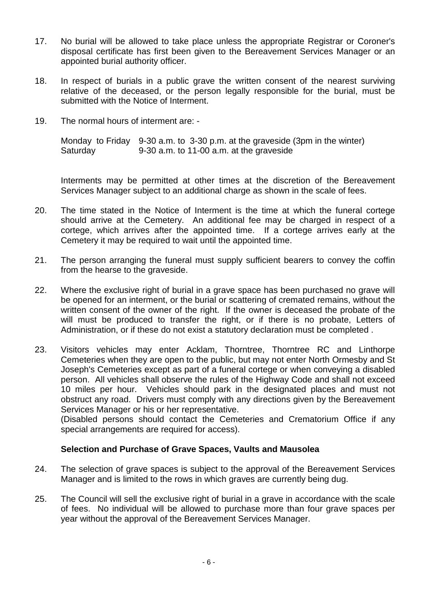- 17. No burial will be allowed to take place unless the appropriate Registrar or Coroner's disposal certificate has first been given to the Bereavement Services Manager or an appointed burial authority officer.
- 18. In respect of burials in a public grave the written consent of the nearest surviving relative of the deceased, or the person legally responsible for the burial, must be submitted with the Notice of Interment.
- 19. The normal hours of interment are: -

Monday to Friday 9-30 a.m. to 3-30 p.m. at the graveside (3pm in the winter) Saturday 9-30 a.m. to 11-00 a.m. at the graveside

Interments may be permitted at other times at the discretion of the Bereavement Services Manager subject to an additional charge as shown in the scale of fees.

- 20. The time stated in the Notice of Interment is the time at which the funeral cortege should arrive at the Cemetery. An additional fee may be charged in respect of a cortege, which arrives after the appointed time. If a cortege arrives early at the Cemetery it may be required to wait until the appointed time.
- 21. The person arranging the funeral must supply sufficient bearers to convey the coffin from the hearse to the graveside.
- 22. Where the exclusive right of burial in a grave space has been purchased no grave will be opened for an interment, or the burial or scattering of cremated remains, without the written consent of the owner of the right. If the owner is deceased the probate of the will must be produced to transfer the right, or if there is no probate, Letters of Administration, or if these do not exist a statutory declaration must be completed .
- 23. Visitors vehicles may enter Acklam, Thorntree, Thorntree RC and Linthorpe Cemeteries when they are open to the public, but may not enter North Ormesby and St Joseph's Cemeteries except as part of a funeral cortege or when conveying a disabled person. All vehicles shall observe the rules of the Highway Code and shall not exceed 10 miles per hour. Vehicles should park in the designated places and must not obstruct any road. Drivers must comply with any directions given by the Bereavement Services Manager or his or her representative.

(Disabled persons should contact the Cemeteries and Crematorium Office if any special arrangements are required for access).

# **Selection and Purchase of Grave Spaces, Vaults and Mausolea**

- 24. The selection of grave spaces is subject to the approval of the Bereavement Services Manager and is limited to the rows in which graves are currently being dug.
- 25. The Council will sell the exclusive right of burial in a grave in accordance with the scale of fees. No individual will be allowed to purchase more than four grave spaces per year without the approval of the Bereavement Services Manager.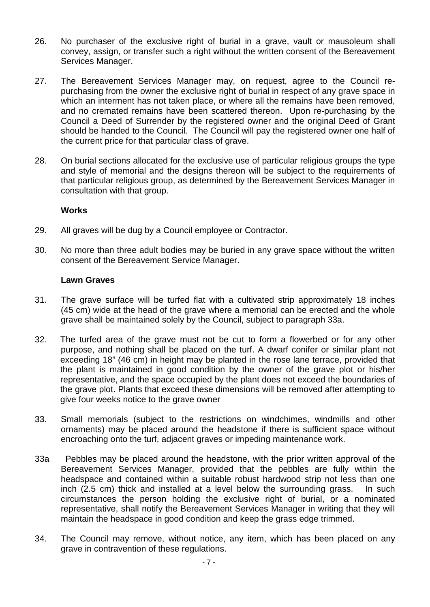- 26. No purchaser of the exclusive right of burial in a grave, vault or mausoleum shall convey, assign, or transfer such a right without the written consent of the Bereavement Services Manager.
- 27. The Bereavement Services Manager may, on request, agree to the Council repurchasing from the owner the exclusive right of burial in respect of any grave space in which an interment has not taken place, or where all the remains have been removed, and no cremated remains have been scattered thereon. Upon re-purchasing by the Council a Deed of Surrender by the registered owner and the original Deed of Grant should be handed to the Council. The Council will pay the registered owner one half of the current price for that particular class of grave.
- 28. On burial sections allocated for the exclusive use of particular religious groups the type and style of memorial and the designs thereon will be subject to the requirements of that particular religious group, as determined by the Bereavement Services Manager in consultation with that group.

# **Works**

- 29. All graves will be dug by a Council employee or Contractor.
- 30. No more than three adult bodies may be buried in any grave space without the written consent of the Bereavement Service Manager.

# **Lawn Graves**

- 31. The grave surface will be turfed flat with a cultivated strip approximately 18 inches (45 cm) wide at the head of the grave where a memorial can be erected and the whole grave shall be maintained solely by the Council, subject to paragraph 33a.
- 32. The turfed area of the grave must not be cut to form a flowerbed or for any other purpose, and nothing shall be placed on the turf. A dwarf conifer or similar plant not exceeding 18" (46 cm) in height may be planted in the rose lane terrace, provided that the plant is maintained in good condition by the owner of the grave plot or his/her representative, and the space occupied by the plant does not exceed the boundaries of the grave plot. Plants that exceed these dimensions will be removed after attempting to give four weeks notice to the grave owner
- 33. Small memorials (subject to the restrictions on windchimes, windmills and other ornaments) may be placed around the headstone if there is sufficient space without encroaching onto the turf, adjacent graves or impeding maintenance work.
- 33a Pebbles may be placed around the headstone, with the prior written approval of the Bereavement Services Manager, provided that the pebbles are fully within the headspace and contained within a suitable robust hardwood strip not less than one inch (2.5 cm) thick and installed at a level below the surrounding grass. In such circumstances the person holding the exclusive right of burial, or a nominated representative, shall notify the Bereavement Services Manager in writing that they will maintain the headspace in good condition and keep the grass edge trimmed.
- 34. The Council may remove, without notice, any item, which has been placed on any grave in contravention of these regulations.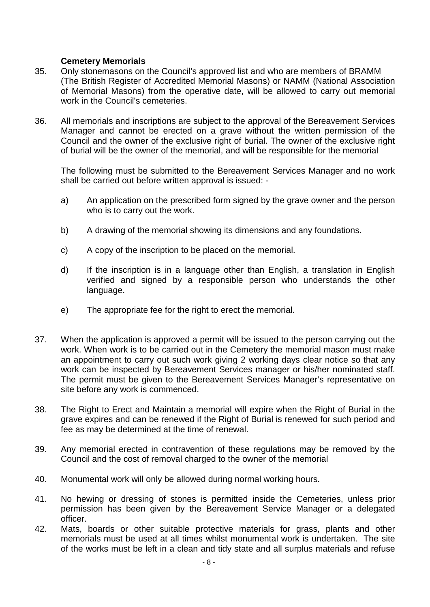# **Cemetery Memorials**

- 35. Only stonemasons on the Council's approved list and who are members of BRAMM (The British Register of Accredited Memorial Masons) or NAMM (National Association of Memorial Masons) from the operative date, will be allowed to carry out memorial work in the Council's cemeteries.
- 36. All memorials and inscriptions are subject to the approval of the Bereavement Services Manager and cannot be erected on a grave without the written permission of the Council and the owner of the exclusive right of burial. The owner of the exclusive right of burial will be the owner of the memorial, and will be responsible for the memorial

The following must be submitted to the Bereavement Services Manager and no work shall be carried out before written approval is issued: -

- a) An application on the prescribed form signed by the grave owner and the person who is to carry out the work.
- b) A drawing of the memorial showing its dimensions and any foundations.
- c) A copy of the inscription to be placed on the memorial.
- d) If the inscription is in a language other than English, a translation in English verified and signed by a responsible person who understands the other language.
- e) The appropriate fee for the right to erect the memorial.
- 37. When the application is approved a permit will be issued to the person carrying out the work. When work is to be carried out in the Cemetery the memorial mason must make an appointment to carry out such work giving 2 working days clear notice so that any work can be inspected by Bereavement Services manager or his/her nominated staff. The permit must be given to the Bereavement Services Manager's representative on site before any work is commenced.
- 38. The Right to Erect and Maintain a memorial will expire when the Right of Burial in the grave expires and can be renewed if the Right of Burial is renewed for such period and fee as may be determined at the time of renewal.
- 39. Any memorial erected in contravention of these regulations may be removed by the Council and the cost of removal charged to the owner of the memorial
- 40. Monumental work will only be allowed during normal working hours.
- 41. No hewing or dressing of stones is permitted inside the Cemeteries, unless prior permission has been given by the Bereavement Service Manager or a delegated officer.
- 42. Mats, boards or other suitable protective materials for grass, plants and other memorials must be used at all times whilst monumental work is undertaken. The site of the works must be left in a clean and tidy state and all surplus materials and refuse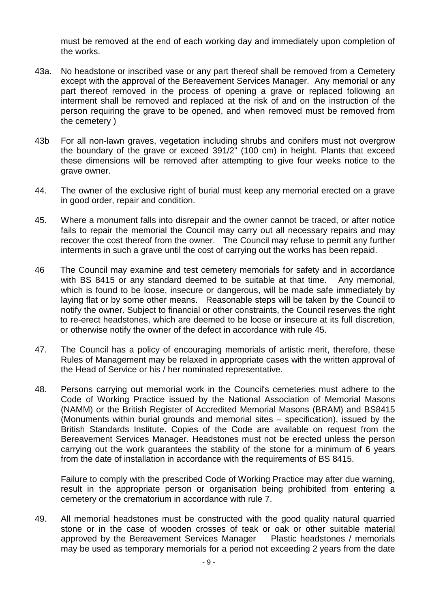must be removed at the end of each working day and immediately upon completion of the works.

- 43a. No headstone or inscribed vase or any part thereof shall be removed from a Cemetery except with the approval of the Bereavement Services Manager. Any memorial or any part thereof removed in the process of opening a grave or replaced following an interment shall be removed and replaced at the risk of and on the instruction of the person requiring the grave to be opened, and when removed must be removed from the cemetery )
- 43b For all non-lawn graves, vegetation including shrubs and conifers must not overgrow the boundary of the grave or exceed 391/2" (100 cm) in height. Plants that exceed these dimensions will be removed after attempting to give four weeks notice to the grave owner.
- 44. The owner of the exclusive right of burial must keep any memorial erected on a grave in good order, repair and condition.
- 45. Where a monument falls into disrepair and the owner cannot be traced, or after notice fails to repair the memorial the Council may carry out all necessary repairs and may recover the cost thereof from the owner. The Council may refuse to permit any further interments in such a grave until the cost of carrying out the works has been repaid.
- 46 The Council may examine and test cemetery memorials for safety and in accordance with BS 8415 or any standard deemed to be suitable at that time. Any memorial, which is found to be loose, insecure or dangerous, will be made safe immediately by laying flat or by some other means. Reasonable steps will be taken by the Council to notify the owner. Subject to financial or other constraints, the Council reserves the right to re-erect headstones, which are deemed to be loose or insecure at its full discretion, or otherwise notify the owner of the defect in accordance with rule 45.
- 47. The Council has a policy of encouraging memorials of artistic merit, therefore, these Rules of Management may be relaxed in appropriate cases with the written approval of the Head of Service or his / her nominated representative.
- 48. Persons carrying out memorial work in the Council's cemeteries must adhere to the Code of Working Practice issued by the National Association of Memorial Masons (NAMM) or the British Register of Accredited Memorial Masons (BRAM) and BS8415 (Monuments within burial grounds and memorial sites – specification), issued by the British Standards Institute. Copies of the Code are available on request from the Bereavement Services Manager. Headstones must not be erected unless the person carrying out the work guarantees the stability of the stone for a minimum of 6 years from the date of installation in accordance with the requirements of BS 8415.

Failure to comply with the prescribed Code of Working Practice may after due warning, result in the appropriate person or organisation being prohibited from entering a cemetery or the crematorium in accordance with rule 7.

49. All memorial headstones must be constructed with the good quality natural quarried stone or in the case of wooden crosses of teak or oak or other suitable material approved by the Bereavement Services Manager Plastic headstones / memorials may be used as temporary memorials for a period not exceeding 2 years from the date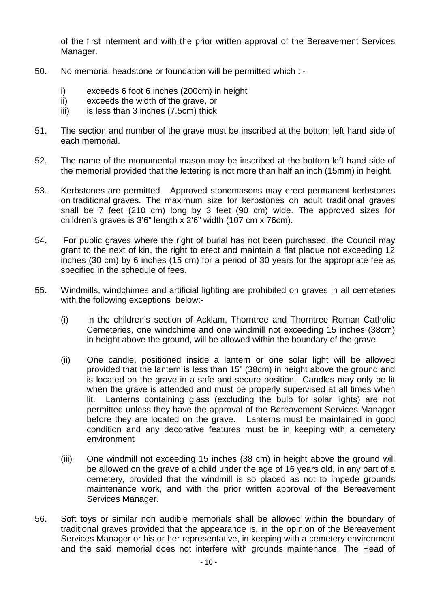of the first interment and with the prior written approval of the Bereavement Services Manager.

- 50. No memorial headstone or foundation will be permitted which :
	- i) exceeds 6 foot 6 inches (200cm) in height<br>ii) exceeds the width of the grave. or
	- ii) exceeds the width of the grave, or<br>iii) is less than 3 inches (7.5cm) thick
	- is less than  $3$  inches  $(7.5cm)$  thick
- 51. The section and number of the grave must be inscribed at the bottom left hand side of each memorial.
- 52. The name of the monumental mason may be inscribed at the bottom left hand side of the memorial provided that the lettering is not more than half an inch (15mm) in height.
- 53. Kerbstones are permitted Approved stonemasons may erect permanent kerbstones on traditional graves. The maximum size for kerbstones on adult traditional graves shall be 7 feet (210 cm) long by 3 feet (90 cm) wide. The approved sizes for children's graves is 3'6" length x 2'6" width (107 cm x 76cm).
- 54. For public graves where the right of burial has not been purchased, the Council may grant to the next of kin, the right to erect and maintain a flat plaque not exceeding 12 inches (30 cm) by 6 inches (15 cm) for a period of 30 years for the appropriate fee as specified in the schedule of fees.
- 55. Windmills, windchimes and artificial lighting are prohibited on graves in all cemeteries with the following exceptions below:-
	- (i) In the children's section of Acklam, Thorntree and Thorntree Roman Catholic Cemeteries, one windchime and one windmill not exceeding 15 inches (38cm) in height above the ground, will be allowed within the boundary of the grave.
	- (ii) One candle, positioned inside a lantern or one solar light will be allowed provided that the lantern is less than 15" (38cm) in height above the ground and is located on the grave in a safe and secure position. Candles may only be lit when the grave is attended and must be properly supervised at all times when lit. Lanterns containing glass (excluding the bulb for solar lights) are not permitted unless they have the approval of the Bereavement Services Manager before they are located on the grave. Lanterns must be maintained in good condition and any decorative features must be in keeping with a cemetery environment
	- (iii) One windmill not exceeding 15 inches (38 cm) in height above the ground will be allowed on the grave of a child under the age of 16 years old, in any part of a cemetery, provided that the windmill is so placed as not to impede grounds maintenance work, and with the prior written approval of the Bereavement Services Manager.
- 56. Soft toys or similar non audible memorials shall be allowed within the boundary of traditional graves provided that the appearance is, in the opinion of the Bereavement Services Manager or his or her representative, in keeping with a cemetery environment and the said memorial does not interfere with grounds maintenance. The Head of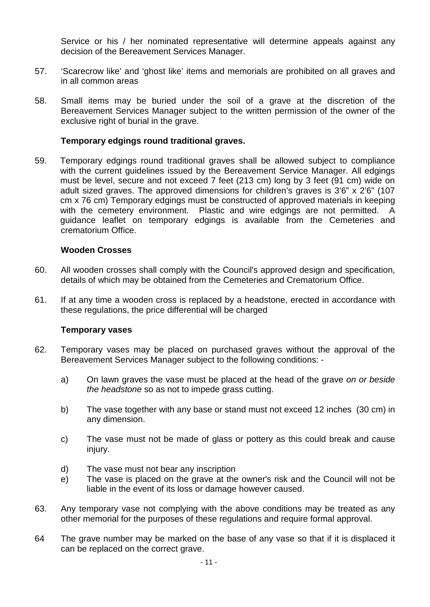Service or his / her nominated representative will determine appeals against any decision of the Bereavement Services Manager.

- 57. 'Scarecrow like' and 'ghost like' items and memorials are prohibited on all graves and in all common areas
- 58. Small items may be buried under the soil of a grave at the discretion of the Bereavement Services Manager subject to the written permission of the owner of the exclusive right of burial in the grave.

### **Temporary edgings round traditional graves.**

59. Temporary edgings round traditional graves shall be allowed subject to compliance with the current guidelines issued by the Bereavement Service Manager. All edgings must be level, secure and not exceed 7 feet (213 cm) long by 3 feet (91 cm) wide on adult sized graves. The approved dimensions for children's graves is 3'6" x 2'6" (107 cm x 76 cm) Temporary edgings must be constructed of approved materials in keeping with the cemetery environment. Plastic and wire edgings are not permitted. A Plastic and wire edgings are not permitted. A guidance leaflet on temporary edgings is available from the Cemeteries and crematorium Office.

### **Wooden Crosses**

- 60. All wooden crosses shall comply with the Council's approved design and specification, details of which may be obtained from the Cemeteries and Crematorium Office.
- 61. If at any time a wooden cross is replaced by a headstone, erected in accordance with these regulations, the price differential will be charged

### **Temporary vases**

- 62. Temporary vases may be placed on purchased graves without the approval of the Bereavement Services Manager subject to the following conditions:
	- a) On lawn graves the vase must be placed at the head of the grave *on or beside the headstone* so as not to impede grass cutting.
	- b) The vase together with any base or stand must not exceed 12 inches (30 cm) in any dimension.
	- c) The vase must not be made of glass or pottery as this could break and cause injury.
	- d) The vase must not bear any inscription
	- e) The vase is placed on the grave at the owner's risk and the Council will not be liable in the event of its loss or damage however caused.
- 63. Any temporary vase not complying with the above conditions may be treated as any other memorial for the purposes of these regulations and require formal approval.
- 64 The grave number may be marked on the base of any vase so that if it is displaced it can be replaced on the correct grave.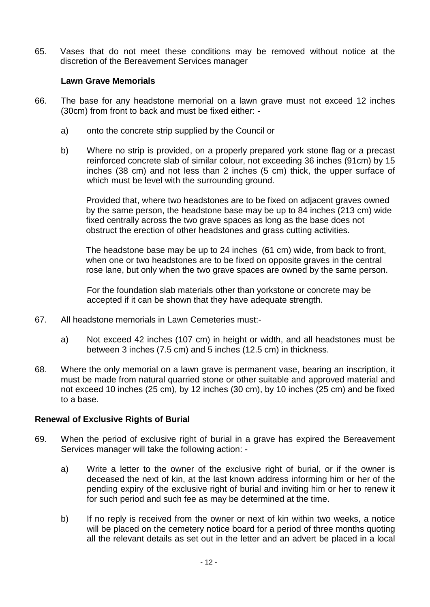65. Vases that do not meet these conditions may be removed without notice at the discretion of the Bereavement Services manager

## **Lawn Grave Memorials**

- 66. The base for any headstone memorial on a lawn grave must not exceed 12 inches (30cm) from front to back and must be fixed either:
	- a) onto the concrete strip supplied by the Council or
	- b) Where no strip is provided, on a properly prepared york stone flag or a precast reinforced concrete slab of similar colour, not exceeding 36 inches (91cm) by 15 inches (38 cm) and not less than 2 inches (5 cm) thick, the upper surface of which must be level with the surrounding ground.

Provided that, where two headstones are to be fixed on adjacent graves owned by the same person, the headstone base may be up to 84 inches (213 cm) wide fixed centrally across the two grave spaces as long as the base does not obstruct the erection of other headstones and grass cutting activities.

The headstone base may be up to 24 inches (61 cm) wide, from back to front, when one or two headstones are to be fixed on opposite graves in the central rose lane, but only when the two grave spaces are owned by the same person.

For the foundation slab materials other than yorkstone or concrete may be accepted if it can be shown that they have adequate strength.

- 67. All headstone memorials in Lawn Cemeteries must:
	- a) Not exceed 42 inches (107 cm) in height or width, and all headstones must be between 3 inches (7.5 cm) and 5 inches (12.5 cm) in thickness.
- 68. Where the only memorial on a lawn grave is permanent vase, bearing an inscription, it must be made from natural quarried stone or other suitable and approved material and not exceed 10 inches (25 cm), by 12 inches (30 cm), by 10 inches (25 cm) and be fixed to a base.

### **Renewal of Exclusive Rights of Burial**

- 69. When the period of exclusive right of burial in a grave has expired the Bereavement Services manager will take the following action:
	- a) Write a letter to the owner of the exclusive right of burial, or if the owner is deceased the next of kin, at the last known address informing him or her of the pending expiry of the exclusive right of burial and inviting him or her to renew it for such period and such fee as may be determined at the time.
	- b) If no reply is received from the owner or next of kin within two weeks, a notice will be placed on the cemetery notice board for a period of three months quoting all the relevant details as set out in the letter and an advert be placed in a local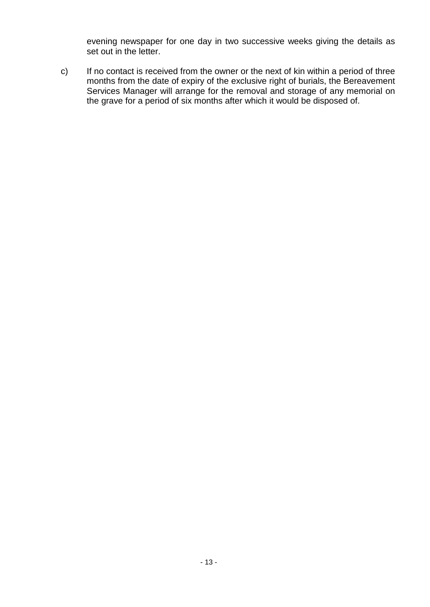evening newspaper for one day in two successive weeks giving the details as set out in the letter.

c) If no contact is received from the owner or the next of kin within a period of three months from the date of expiry of the exclusive right of burials, the Bereavement Services Manager will arrange for the removal and storage of any memorial on the grave for a period of six months after which it would be disposed of.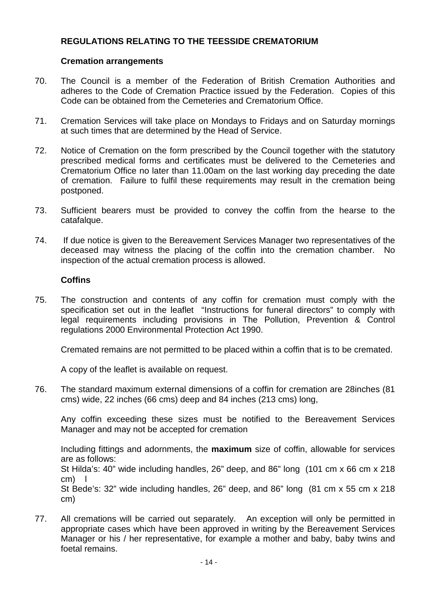# **REGULATIONS RELATING TO THE TEESSIDE CREMATORIUM**

## **Cremation arrangements**

- 70. The Council is a member of the Federation of British Cremation Authorities and adheres to the Code of Cremation Practice issued by the Federation. Copies of this Code can be obtained from the Cemeteries and Crematorium Office.
- 71. Cremation Services will take place on Mondays to Fridays and on Saturday mornings at such times that are determined by the Head of Service.
- 72. Notice of Cremation on the form prescribed by the Council together with the statutory prescribed medical forms and certificates must be delivered to the Cemeteries and Crematorium Office no later than 11.00am on the last working day preceding the date of cremation. Failure to fulfil these requirements may result in the cremation being postponed.
- 73. Sufficient bearers must be provided to convey the coffin from the hearse to the catafalque.
- 74. If due notice is given to the Bereavement Services Manager two representatives of the deceased may witness the placing of the coffin into the cremation chamber. No inspection of the actual cremation process is allowed.

# **Coffins**

75. The construction and contents of any coffin for cremation must comply with the specification set out in the leaflet "Instructions for funeral directors" to comply with legal requirements including provisions in The Pollution, Prevention & Control regulations 2000 Environmental Protection Act 1990.

Cremated remains are not permitted to be placed within a coffin that is to be cremated.

A copy of the leaflet is available on request.

76. The standard maximum external dimensions of a coffin for cremation are 28inches (81 cms) wide, 22 inches (66 cms) deep and 84 inches (213 cms) long,

Any coffin exceeding these sizes must be notified to the Bereavement Services Manager and may not be accepted for cremation

Including fittings and adornments, the **maximum** size of coffin, allowable for services are as follows:

St Hilda's: 40" wide including handles, 26" deep, and 86" long (101 cm x 66 cm x 218 cm)

St Bede's: 32" wide including handles, 26" deep, and 86" long (81 cm x 55 cm x 218 cm)

77. All cremations will be carried out separately. An exception will only be permitted in appropriate cases which have been approved in writing by the Bereavement Services Manager or his / her representative, for example a mother and baby, baby twins and foetal remains.